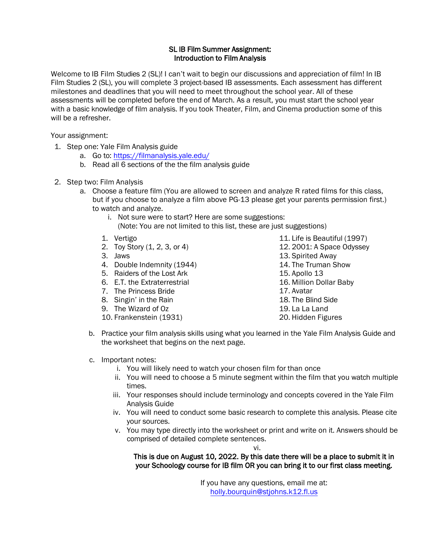## SL IB Film Summer Assignment: Introduction to Film Analysis

Welcome to IB Film Studies 2 (SL)! I can't wait to begin our discussions and appreciation of film! In IB Film Studies 2 (SL), you will complete 3 project-based IB assessments. Each assessment has different milestones and deadlines that you will need to meet throughout the school year. All of these assessments will be completed before the end of March. As a result, you must start the school year with a basic knowledge of film analysis. If you took Theater, Film, and Cinema production some of this will be a refresher.

Your assignment:

- 1. Step one: Yale Film Analysis guide
	- a. Go to: https://filmanalysis.yale.edu/
	- b. Read all 6 [sections of the the film analys](https://filmanalysis.yale.edu/)is guide
- 2. Step two: Film Analysis
	- a. Choose a feature film (You are allowed to screen and analyze R rated films for this class, but if you choose to analyze a film above PG-13 please get your parents permission first.) to watch and analyze.
		- i. Not sure were to start? Here are some suggestions:
			- (Note: You are not limited to this list, these are just suggestions)
		- 1. Vertigo
		- 2. Toy Story (1, 2, 3, or 4)
		- 3. Jaws
		- 4. Double Indemnity (1944)
		- 5. Raiders of the Lost Ark
		- 6. E.T. the Extraterrestrial
		- 7. The Princess Bride
		- 8. Singin' in the Rain
		- 9. The Wizard of Oz
		- 10. Frankenstein (1931)
- 11. Life is Beautiful (1997)
- 12. 2001: A Space Odyssey
- 13. Spirited Away
- 14. The Truman Show
- 15. Apollo 13
- 16. Million Dollar Baby
- 17. Avatar
- 18. The Blind Side
- 19. La La Land
- 20. Hidden Figures
- b. Practice your film analysis skills using what you learned in the Yale Film Analysis Guide and the worksheet that begins on the next page.
- c. Important notes:
	- i. You will likely need to watch your chosen film for than once
	- ii. You will need to choose a 5 minute segment within the film that you watch multiple times.
	- iii. Your responses should include terminology and concepts covered in the Yale Film Analysis Guide
	- iv. You will need to conduct some basic research to complete this analysis. Please cite your sources.
	- v. You may type directly into the worksheet or print and write on it. Answers should be comprised of detailed complete sentences.

vi.

## [This is due on August 1](mailto:holly.bourquin@stjohns.k12.fl.us)0, 2022. By this date there will be a place to submit it in your Schoology course for IB film OR you can bring it to our first class meeting.

If you have any questions, email me at: holly.bourquin@stjohns.k12.fl.us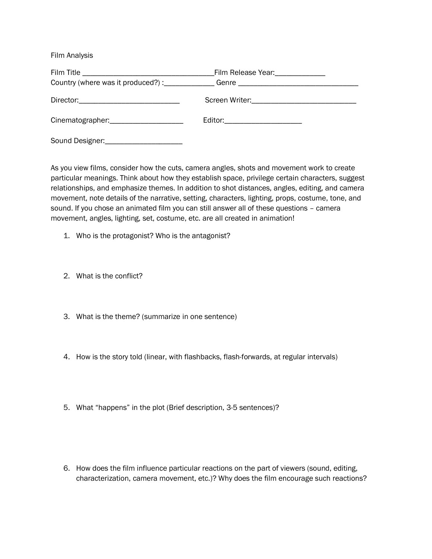Film Analysis

|                                   | Country (where was it produced?) :_____________Genre ___________________________ |
|-----------------------------------|----------------------------------------------------------------------------------|
|                                   |                                                                                  |
| Cinematographer: Cinematographer: | Editor:________________________                                                  |
|                                   |                                                                                  |

As you view films, consider how the cuts, camera angles, shots and movement work to create particular meanings. Think about how they establish space, privilege certain characters, suggest relationships, and emphasize themes. In addition to shot distances, angles, editing, and camera movement, note details of the narrative, setting, characters, lighting, props, costume, tone, and sound. If you chose an animated film you can still answer all of these questions – camera movement, angles, lighting, set, costume, etc. are all created in animation!

- 1. Who is the protagonist? Who is the antagonist?
- 2. What is the conflict?
- 3. What is the theme? (summarize in one sentence)
- 4. How is the story told (linear, with flashbacks, flash-forwards, at regular intervals)
- 5. What "happens" in the plot (Brief description, 3-5 sentences)?
- 6. How does the film influence particular reactions on the part of viewers (sound, editing, characterization, camera movement, etc.)? Why does the film encourage such reactions?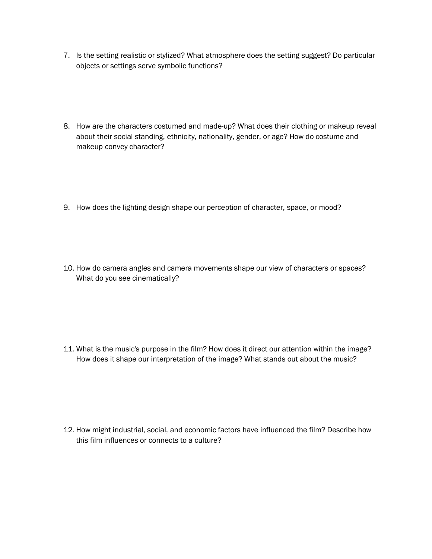- 7. Is the setting realistic or stylized? What atmosphere does the setting suggest? Do particular objects or settings serve symbolic functions?
- 8. How are the characters costumed and made-up? What does their clothing or makeup reveal about their social standing, ethnicity, nationality, gender, or age? How do costume and makeup convey character?
- 9. How does the lighting design shape our perception of character, space, or mood?
- 10. How do camera angles and camera movements shape our view of characters or spaces? What do you see cinematically?

11. What is the music's purpose in the film? How does it direct our attention within the image? How does it shape our interpretation of the image? What stands out about the music?

12. How might industrial, social, and economic factors have influenced the film? Describe how this film influences or connects to a culture?